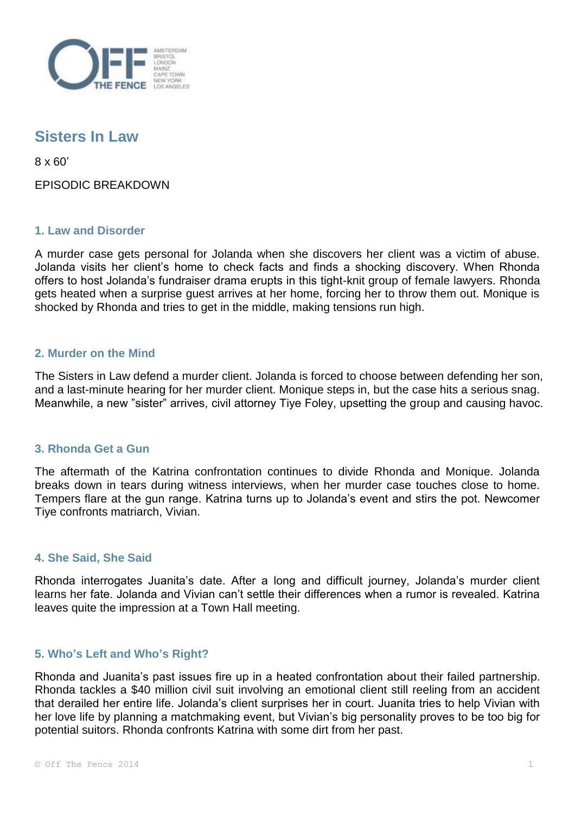

# **Sisters In Law**

8 x 60'

EPISODIC BREAKDOWN

# **1. Law and Disorder**

A murder case gets personal for Jolanda when she discovers her client was a victim of abuse. Jolanda visits her client's home to check facts and finds a shocking discovery. When Rhonda offers to host Jolanda's fundraiser drama erupts in this tight-knit group of female lawyers. Rhonda gets heated when a surprise guest arrives at her home, forcing her to throw them out. Monique is shocked by Rhonda and tries to get in the middle, making tensions run high.

## **2. Murder on the Mind**

The Sisters in Law defend a murder client. Jolanda is forced to choose between defending her son, and a last-minute hearing for her murder client. Monique steps in, but the case hits a serious snag. Meanwhile, a new "sister" arrives, civil attorney Tiye Foley, upsetting the group and causing havoc.

#### **3. Rhonda Get a Gun**

The aftermath of the Katrina confrontation continues to divide Rhonda and Monique. Jolanda breaks down in tears during witness interviews, when her murder case touches close to home. Tempers flare at the gun range. Katrina turns up to Jolanda's event and stirs the pot. Newcomer Tiye confronts matriarch, Vivian.

#### **4. She Said, She Said**

Rhonda interrogates Juanita's date. After a long and difficult journey, Jolanda's murder client learns her fate. Jolanda and Vivian can't settle their differences when a rumor is revealed. Katrina leaves quite the impression at a Town Hall meeting.

#### **5. Who's Left and Who's Right?**

Rhonda and Juanita's past issues fire up in a heated confrontation about their failed partnership. Rhonda tackles a \$40 million civil suit involving an emotional client still reeling from an accident that derailed her entire life. Jolanda's client surprises her in court. Juanita tries to help Vivian with her love life by planning a matchmaking event, but Vivian's big personality proves to be too big for potential suitors. Rhonda confronts Katrina with some dirt from her past.